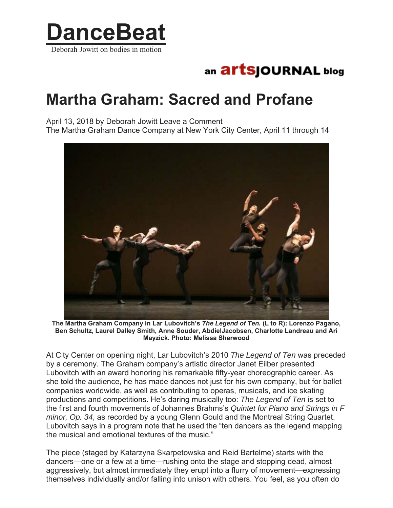

## an **artSjOURNAL** blog

## **Martha Graham: Sacred and Profane**

April 13, 2018 by Deborah Jowitt Leave a Comment The Martha Graham Dance Company at New York City Center, April 11 through 14



**The Martha Graham Company in Lar Lubovitch's** *The Legend of Ten.* **(L to R): Lorenzo Pagano, Ben Schultz, Laurel Dalley Smith, Anne Souder, AbdielJacobsen, Charlotte Landreau and Ari Mayzick. Photo: Melissa Sherwood** 

At City Center on opening night, Lar Lubovitch's 2010 *The Legend of Ten* was preceded by a ceremony. The Graham company's artistic director Janet Eilber presented Lubovitch with an award honoring his remarkable fifty-year choreographic career. As she told the audience, he has made dances not just for his own company, but for ballet companies worldwide, as well as contributing to operas, musicals, and ice skating productions and competitions. He's daring musically too: *The Legend of Ten* is set to the first and fourth movements of Johannes Brahms's *Quintet for Piano and Strings in F minor, Op. 34*, as recorded by a young Glenn Gould and the Montreal String Quartet. Lubovitch says in a program note that he used the "ten dancers as the legend mapping the musical and emotional textures of the music."

The piece (staged by Katarzyna Skarpetowska and Reid Bartelme) starts with the dancers—one or a few at a time—rushing onto the stage and stopping dead, almost aggressively, but almost immediately they erupt into a flurry of movement—expressing themselves individually and/or falling into unison with others. You feel, as you often do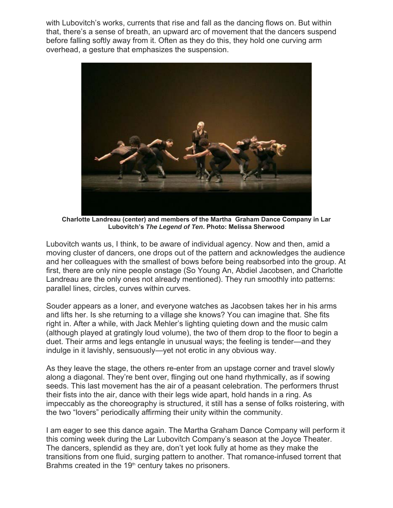with Lubovitch's works, currents that rise and fall as the dancing flows on. But within that, there's a sense of breath, an upward arc of movement that the dancers suspend before falling softly away from it. Often as they do this, they hold one curving arm overhead, a gesture that emphasizes the suspension.



**Charlotte Landreau (center) and members of the Martha Graham Dance Company in Lar Lubovitch's** *The Legend of Ten***. Photo: Melissa Sherwood** 

Lubovitch wants us, I think, to be aware of individual agency. Now and then, amid a moving cluster of dancers, one drops out of the pattern and acknowledges the audience and her colleagues with the smallest of bows before being reabsorbed into the group. At first, there are only nine people onstage (So Young An, Abdiel Jacobsen, and Charlotte Landreau are the only ones not already mentioned). They run smoothly into patterns: parallel lines, circles, curves within curves.

Souder appears as a loner, and everyone watches as Jacobsen takes her in his arms and lifts her. Is she returning to a village she knows? You can imagine that. She fits right in. After a while, with Jack Mehler's lighting quieting down and the music calm (although played at gratingly loud volume), the two of them drop to the floor to begin a duet. Their arms and legs entangle in unusual ways; the feeling is tender—and they indulge in it lavishly, sensuously—yet not erotic in any obvious way.

As they leave the stage, the others re-enter from an upstage corner and travel slowly along a diagonal. They're bent over, flinging out one hand rhythmically, as if sowing seeds. This last movement has the air of a peasant celebration. The performers thrust their fists into the air, dance with their legs wide apart, hold hands in a ring. As impeccably as the choreography is structured, it still has a sense of folks roistering, with the two "lovers" periodically affirming their unity within the community.

I am eager to see this dance again. The Martha Graham Dance Company will perform it this coming week during the Lar Lubovitch Company's season at the Joyce Theater. The dancers, splendid as they are, don't yet look fully at home as they make the transitions from one fluid, surging pattern to another. That romance-infused torrent that Brahms created in the 19<sup>th</sup> century takes no prisoners.